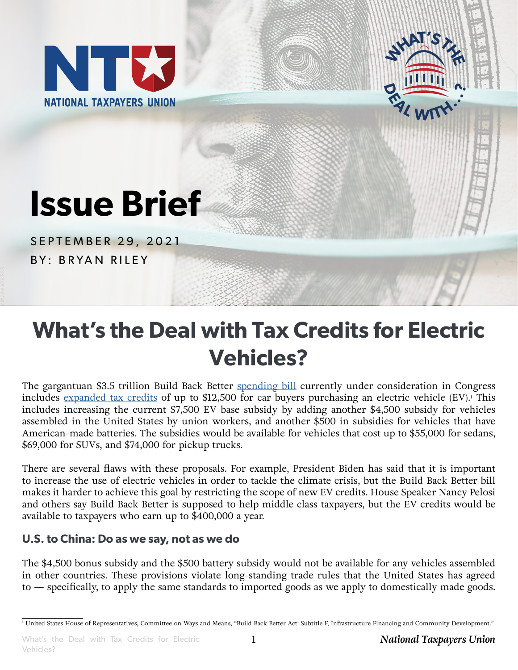



# **Issue Brief**

SEPTEMBER 29, 2021 BY: BRYAN RILEY

## **What's the Deal with Tax Credits for Electric Vehicles?**

The gargantuan \$3.5 trillion Build Back Better [spending bill](https://waysandmeans.house.gov/sites/democrats.waysandmeans.house.gov/files/documents/Section%20by%20Section%20Subtitle%20F%2C%20G%2C%20H%2C%20%26%20J.pdf) currently under consideration in Congress includes <u>[expanded tax credits](https://www.ntu.org/publications/detail/should-the-government-tell-americans-what-kind-of-car-to-drive)</u> of up to \$12,500 for car buyers purchasing an electric vehicle (EV).<sup>1</sup> This includes increasing the current \$7,500 EV base subsidy by adding another \$4,500 subsidy for vehicles assembled in the United States by union workers, and another \$500 in subsidies for vehicles that have American-made batteries. The subsidies would be available for vehicles that cost up to \$55,000 for sedans, \$69,000 for SUVs, and \$74,000 for pickup trucks.

There are several flaws with these proposals. For example, President Biden has said that it is important to increase the use of electric vehicles in order to tackle the climate crisis, but the Build Back Better bill makes it harder to achieve this goal by restricting the scope of new EV credits. House Speaker Nancy Pelosi and others say Build Back Better is supposed to help middle class taxpayers, but the EV credits would be available to taxpayers who earn up to \$400,000 a year.

### **U.S. to China: Do as we say, not as we do**

The \$4,500 bonus subsidy and the \$500 battery subsidy would not be available for any vehicles assembled in other countries. These provisions violate long-standing trade rules that the United States has agreed to — specifically, to apply the same standards to imported goods as we apply to domestically made goods.

<sup>1</sup> United States House of Representatives, Committee on Ways and Means, "Build Back Better Act: Subtitle F, Infrastructure Financing and Community Development."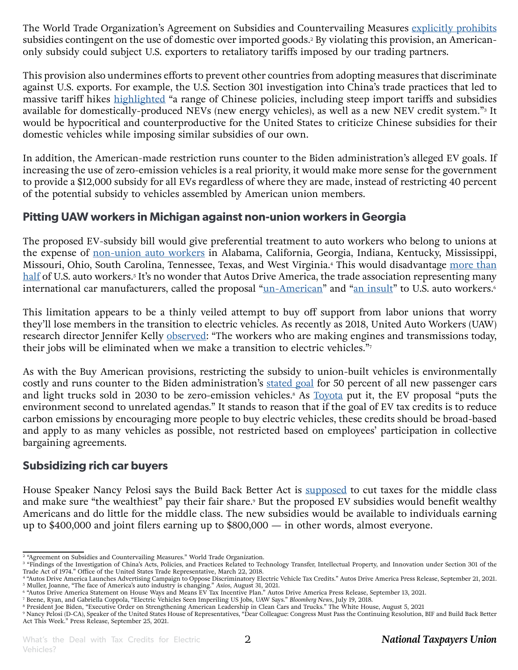The World Trade Organization's Agreement on Subsidies and Countervailing Measures [explicitly prohibits](https://www.wto.org/english/docs_e/legal_e/24-scm.pdf) subsidies contingent on the use of domestic over imported goods.2 By violating this provision, an Americanonly subsidy could subject U.S. exporters to retaliatory tariffs imposed by our trading partners.

This provision also undermines efforts to prevent other countries from adopting measures that discriminate against U.S. exports. For example, the U.S. Section 301 investigation into China's trade practices that led to massive tariff hikes [highlighted](https://ustr.gov/sites/default/files/Section%20301%20FINAL.PDF) "a range of Chinese policies, including steep import tariffs and subsidies available for domestically-produced NEVs (new energy vehicles), as well as a new NEV credit system."<sup>3</sup> It would be hypocritical and counterproductive for the United States to criticize Chinese subsidies for their domestic vehicles while imposing similar subsidies of our own.

In addition, the American-made restriction runs counter to the Biden administration's alleged EV goals. If increasing the use of zero-emission vehicles is a real priority, it would make more sense for the government to provide a \$12,000 subsidy for all EVs regardless of where they are made, instead of restricting 40 percent of the potential subsidy to vehicles assembled by American union members.

#### **Pitting UAW workers in Michigan against non-union workers in Georgia**

The proposed EV-subsidy bill would give preferential treatment to auto workers who belong to unions at the expense of [non-union auto workers](https://www.autosdriveamerica.org/posts/press-release/ev-tax-advertising-campaign) in Alabama, California, Georgia, Indiana, Kentucky, Mississippi, Missouri, Ohio, South Carolina, Tennessee, Texas, and West Virginia.<sup>4</sup> This would disadvantage [more than](https://www.axios.com/us-autoworkers-global-carmakers-jobs-e2254bbe-71d8-45a8-8589-7c55f4aad84b.html) <u>[half](https://www.axios.com/us-autoworkers-global-carmakers-jobs-e2254bbe-71d8-45a8-8589-7c55f4aad84b.html)</u> of U.S. auto workers.<sup>5</sup> It's no wonder that Autos Drive America, the trade association representing many international car manufacturers, called the proposal ["un-American](https://www.autosdriveamerica.org/posts/press-release/ev-tax-credits)" and "[an insult](https://www.youtube.com/watch?v=RRSAVkoouxI)" to U.S. auto workers.<sup>6</sup>

This limitation appears to be a thinly veiled attempt to buy off support from labor unions that worry they'll lose members in the transition to electric vehicles. As recently as 2018, United Auto Workers (UAW) research director Jennifer Kelly [observed:](https://www.ttnews.com/articles/electric-vehicles-seen-imperiling-us-jobs-uaw-says.) "The workers who are making engines and transmissions today, their jobs will be eliminated when we make a transition to electric vehicles."7

As with the Buy American provisions, restricting the subsidy to union-built vehicles is environmentally costly and runs counter to the Biden administration's [stated goal](https://www.whitehouse.gov/briefing-room/presidential-actions/2021/08/05/executive-order-on-strengthening-american-leadership-in-clean-cars-and-trucks/) for 50 percent of all new passenger cars and light trucks sold in 2030 to be zero-emission vehicles.<sup>8</sup> As [Toyota](https://www.msn.com/en-us/news/politics/toyota-urges-house-committee-to-reject-blatantly-biased-proposal-on-expanded-ev-tax-credits/ar-AAOoYz1?ocid=uxbndlbing) put it, the EV proposal "puts the environment second to unrelated agendas." It stands to reason that if the goal of EV tax credits is to reduce carbon emissions by encouraging more people to buy electric vehicles, these credits should be broad-based and apply to as many vehicles as possible, not restricted based on employees' participation in collective bargaining agreements.

#### **Subsidizing rich car buyers**

House Speaker Nancy Pelosi says the Build Back Better Act is [supposed](https://www.speaker.gov/newsroom/92521) to cut taxes for the middle class and make sure "the wealthiest" pay their fair share.<sup>,</sup> But the proposed EV subsidies would benefit wealthy . Americans and do little for the middle class. The new subsidies would be available to individuals earning up to \$400,000 and joint filers earning up to \$800,000 — in other words, almost everyone.

<sup>&</sup>lt;sup>2</sup> "Agreement on Subsidies and Countervailing Measures." World Trade Organization.

<sup>3</sup> "Findings of the Investigation of China's Acts, Policies, and Practices Related to Technology Transfer, Intellectual Property, and Innovation under Section 301 of the Trade Act of 1974." Office of the United States Trade Representative, March 22, 2018.

<sup>&</sup>lt;sup>4</sup> "Autos Drive America Launches Advertising Campaign to Oppose Discriminatory Electric Vehicle Tax Credits." Autos Drive America Press Release, September 21, 2021.<br><sup>5</sup> Muller, Joanne, "The face of America's auto industry

<sup>9</sup> Nancy Pelosi (D-CA), Speaker of the United States House of Representatives, "Dear Colleague: Congress Must Pass the Continuing Resolution, BIF and Build Back Better Act This Week." Press Release, September 25, 2021.